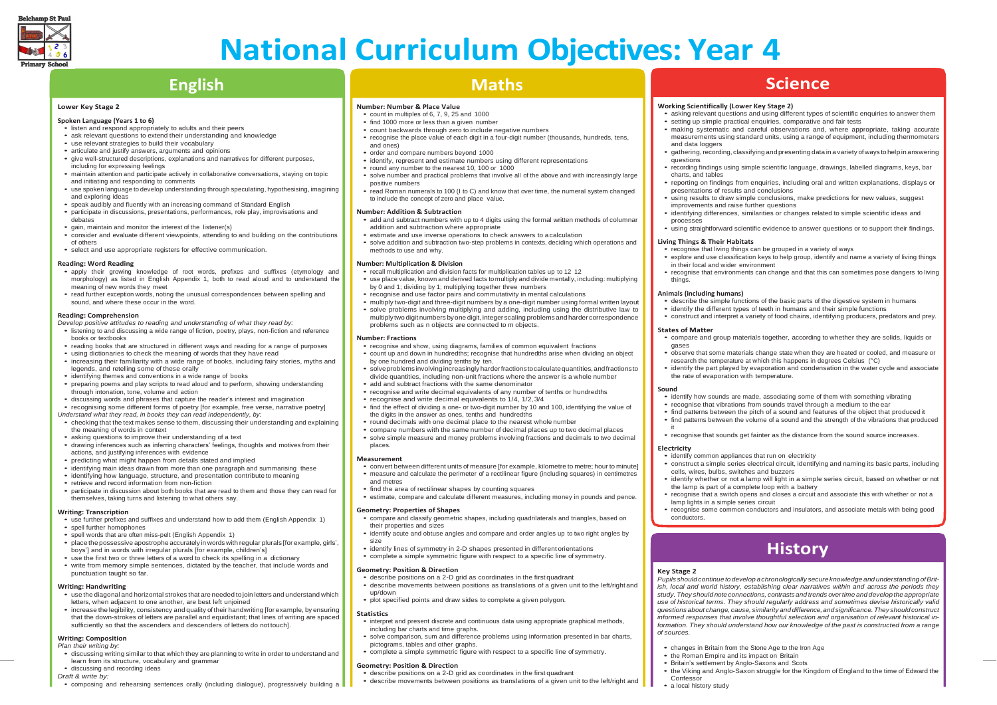

# **National Curriculum Objectives: Year 4**

### **Lower Key Stage 2**

### **Spoken Language (Years 1 to 6)**

- listen and respond appropriately to adults and their peers
- ask relevant questions to extend their understanding and knowledge • use relevant strategies to build their vocabulary
- articulate and justify answers, arguments and opinions
- give well-structured descriptions, explanations and narratives for different purposes, including for expressing feelings
- maintain attention and participate actively in collaborative conversations, staying on topic and initiating and responding to comments
- use spoken language to develop understanding through speculating, hypothesising, imagining and exploring ideas
- speak audibly and fluently with an increasing command of Standard English
- participate in discussions, presentations, performances, role play, improvisations and
- debates
- gain, maintain and monitor the interest of the listener(s)
- consider and evaluate different viewpoints, attending to and building on the contributions of others
- select and use appropriate registers for effective communication.

### **Reading: Word Reading**

- apply their growing knowledge of root words, prefixes and suffixes (etymology and morphology) as listed in English Appendix 1, both to read aloud and to understand the meaning of new words they meet
- read further exception words, noting the unusual correspondences between spelling and sound, and where these occur in the word.

### **Reading: Comprehension**

*Develop positive attitudes to reading and understanding of what they read by:*

- use further prefixes and suffixes and understand how to add them (English Appendix 1) • spell further homophones
- spell words that are often miss-pelt (English Appendix 1)
- place the possessive apostrophe accurately in words with regular plurals [for example, girls', boys'] and in words with irregular plurals [for example, children's]
- use the first two or three letters of a word to check its spelling in a dictionary
- write from memory simple sentences, dictated by the teacher, that include words and punctuation taught so far.
- listening to and discussing a wide range of fiction, poetry, plays, non-fiction and reference books or textbooks
- reading books that are structured in different ways and reading for <sup>a</sup> range of purposes
- using dictionaries to check the meaning of words that they have read • increasing their familiarity with a wide range of books, including fairy stories, myths and
- legends, and retelling some of these orally
- identifying themes and conventions in a wide range of books
- preparing poems and play scripts to read aloud and to perform, showing understanding through intonation, tone, volume and action
- discussing words and phrases that capture the reader's interest and imagination
- recognising some different forms of poetry [for example, free verse, narrative poetry] *Understand what they read, in books they can read independently, by:*
- checking that the text makes sense to them, discussing their understanding and explaining the meaning of words in context
- asking questions to improve their understanding of a text
- drawing inferences such as inferring characters' feelings, thoughts and motives from their actions, and justifying inferences with evidence
- predicting what might happen from details stated and implied
- identifying main ideas drawn from more than one paragraph and summarising these
- identifying how language, structure, and presentation contribute to meaning
- retrieve and record information from non-fiction
- participate in discussion about both books that are read to them and those they can read for themselves, taking turns and listening to what others say.

### **Writing: Transcription**

### **Writing: Handwriting**

- use the diagonal and horizontal strokes that are needed to join letters and understand which letters, when adjacent to one another, are best left unjoined
- increase the legibility, consistency and quality of their handwriting [for example, by ensuring that the down-strokes of letters are parallel and equidistant; that lines of writing are spaced sufficiently so that the ascenders and descenders of letters do not touch].

### **Writing: Composition**

- *Plan their writing by:*
- discussing writing similar to that which they are planning to write in order to understand and learn from its structure, vocabulary and grammar
- discussing and recording ideas
- *Draft & write by:*
- composing and rehearsing sentences orally (including dialogue), progressively building <sup>a</sup>

## **English**

### **Number: Number & Place Value**

• using results to draw simple conclusions, make predictions for new values, suggest improvements and raise further questions

- count in multiples of 6, 7, 9, 25 and <sup>1000</sup>
- find 1000 more or less than a given number • count backwards through zero to include negative numbers
- 
- recognise the place value of each digit in a four-digit number (thousands, hundreds, tens, and ones)
- order and compare numbers beyond 1000
- identify, represent and estimate numbers using different representations
- round any number to the nearest 10, 100 or <sup>1000</sup>
- solve number and practical problems that involve all of the above and with increasingly large positive numbers
- read Roman numerals to 100 (I to C) and know that over time, the numeral system changed to include the concept of zero and place value.

### **Number: Addition & Subtraction**

- add and subtract numbers with up to <sup>4</sup> digits using the formal written methods of columnar addition and subtraction where appropriate
- estimate and use inverse operations to check answers to a calculation
- solve addition and subtraction two-step problems in contexts, deciding which operations and methods to use and why.

### **Number: Multiplication & Division**

- recall multiplication and division facts for multiplication tables up to 12 <sup>12</sup> • use place value, known and derived facts to multiply and divide mentally, including: multiplying
- by 0 and 1; dividing by 1; multiplying together three numbers • recognise and use factor pairs and commutativity in mental calculations
- multiply two-digit and three-digit numbers by <sup>a</sup> one-digit number using formal written layout
- solve problems involving multiplying and adding, including using the distributive law to multiply two digit numbers byone digit, integer scaling problems andharder correspondence problems such as n objects are connected to m objects.

### **Number: Fractions**

Confessor • a local history study

- recognise and show, using diagrams, families of common equivalent fractions
- count up and down in hundredths; recognise that hundredths arise when dividing an object by one hundred and dividing tenths by ten.
- solveproblems involvingincreasingly harderfractionstocalculatequantities,andfractionsto divide quantities, including non-unit fractions where the answer is a whole number
- add and subtract fractions with the same denominator
- recognise and write decimal equivalents of any number of tenths or hundredths
- recognise and write decimal equivalents to 1/4, 1/2,3/4
- find the effect of dividing a one- or two-digit number by 10 and 100, identifying the value of
- the digits in the answer as ones, tenths and hundredths
- round decimals with one decimal place to the nearest whole number
- compare numbers with the same number of decimal places up to two decimal places • solve simple measure and money problems involving fractions and decimals to two decimal places.

### **Measurement**

- convert between different units of measure [for example, kilometre to metre; hour to minute]
- measure and calculate the perimeter of a rectilinear figure (including squares) in centimetres and metres
- find the area of rectilinear shapes by counting squares
- estimate, compare and calculate different measures, including money in pounds and pence.

### **Geometry: Properties of Shapes**

- compare and classify geometric shapes, including quadrilaterals and triangles, based on their properties and sizes
- identify acute and obtuse angles and compare and order angles up to two right angles by size

- identify lines of symmetry in 2-D shapes presented in different orientations
- complete a simple symmetric figure with respect to a specific line of symmetry.

### **Geometry: Position & Direction**

- describe positions on a 2-D grid as coordinates in the first quadrant
- describe movements between positions as translations of a given unit to the left/right and
- up/down

• plot specified points and draw sides to complete a given polygon.

### **Statistics** • interpret and present discrete and continuous data using appropriate graphical methods,



including bar charts and time graphs.

• solve comparison, sum and difference problems using information presented in bar charts,

• describe movements between positions as translations of a given unit to the left/right and

pictograms, tables and other graphs.

• complete a simple symmetric figure with respect to a specific line of symmetry.

**Geometry: Position & Direction**

• describe positions on a 2-D grid as coordinates in the first quadrant

### **Maths**

### **Working Scientifically (Lower Key Stage 2)**

• asking relevant questions and using different types of scientific enquiries to answer them • setting up simple practical enquiries, comparative and fair tests

• making systematic and careful observations and, where appropriate, taking accurate measurements using standard units, using a range of equipment, including thermometers

• gathering, recording, classifying and presenting data in <sup>a</sup> variety of ways tohelp in answering

questions

• recording findings using simple scientific language, drawings, labelled diagrams, keys, bar

charts, and tables

• reporting on findings from enquiries, including oral and written explanations, displays or presentations of results and conclusions

• identifying differences, similarities or changes related to simple scientific ideas and

processes

• using straightforward scientific evidence to answer questions or to support their findings.

### **Living Things & Their Habitats**

and data loggers

• recognise that living things can be grouped in a variety of ways

• explore and use classification keys to help group, identify and name a variety of living things in their local and wider environment

• recognise that environments can change and that this can sometimes pose dangers to living

things.

**Animals (including humans)**

• describe the simple functions of the basic parts of the digestive system in humans • identify the different types of teeth in humans and their simple functions • construct and interpret <sup>a</sup> variety of food chains, identifying producers, predators and prey.

**States of Matter**

• compare and group materials together, according to whether they are solids, liquids or

gases

• observe that some materials change state when they are heated or cooled, and measure or research the temperature at which this happens in degrees Celsius (°C) • identify the part played by evaporation and condensation in the water cycle and associate the rate of evaporation with temperature.

**Sound**

• identify how sounds are made, associating some of them with something vibrating • recognise that vibrations from sounds travel through a medium to the ear • find patterns between the pitch of a sound and features of the object that produced it • find patterns between the volume of a sound and the strength of the vibrations that produced

it • recognise that sounds get fainter as the distance from the sound source increases.

• identify common appliances that run on electricity

**Electricity**

• construct <sup>a</sup> simple series electrical circuit, identifying and naming its basic parts, including cells, wires, bulbs, switches and buzzers

• identify whether or not a lamp will light in a simple series circuit, based on whether or not the lamp is part of a complete loop with a battery

• recognise that a switch opens and closes a circuit and associate this with whether or not a lamp lights in a simple series circuit

• recognise some common conductors and insulators, and associate metals with being good

conductors.

### **Science**

**Key Stage 2**

*Pupils should continue todevelop achronologically secure knowledge and understanding ofBritish, local and world history, establishing clear narratives within and across the periods they study. They should noteconnections, contrasts and trends overtime and develop the appropriate use of historical terms. They should regularly address and sometimes devise historically valid questions about change, cause, similarity anddifference,andsignificance.They should construct informed responses that involve thoughtful selection and organisation of relevant historical information. They should understand how our knowledge of the past is constructed from a range* 

*of sources.*

• changes in Britain from the Stone Age to the Iron Age • the Roman Empire and its impact on Britain • Britain's settlement by Anglo-Saxons and Scots • the Viking and Anglo-Saxon struggle for the Kingdom of England to the time of Edward the

### **History**